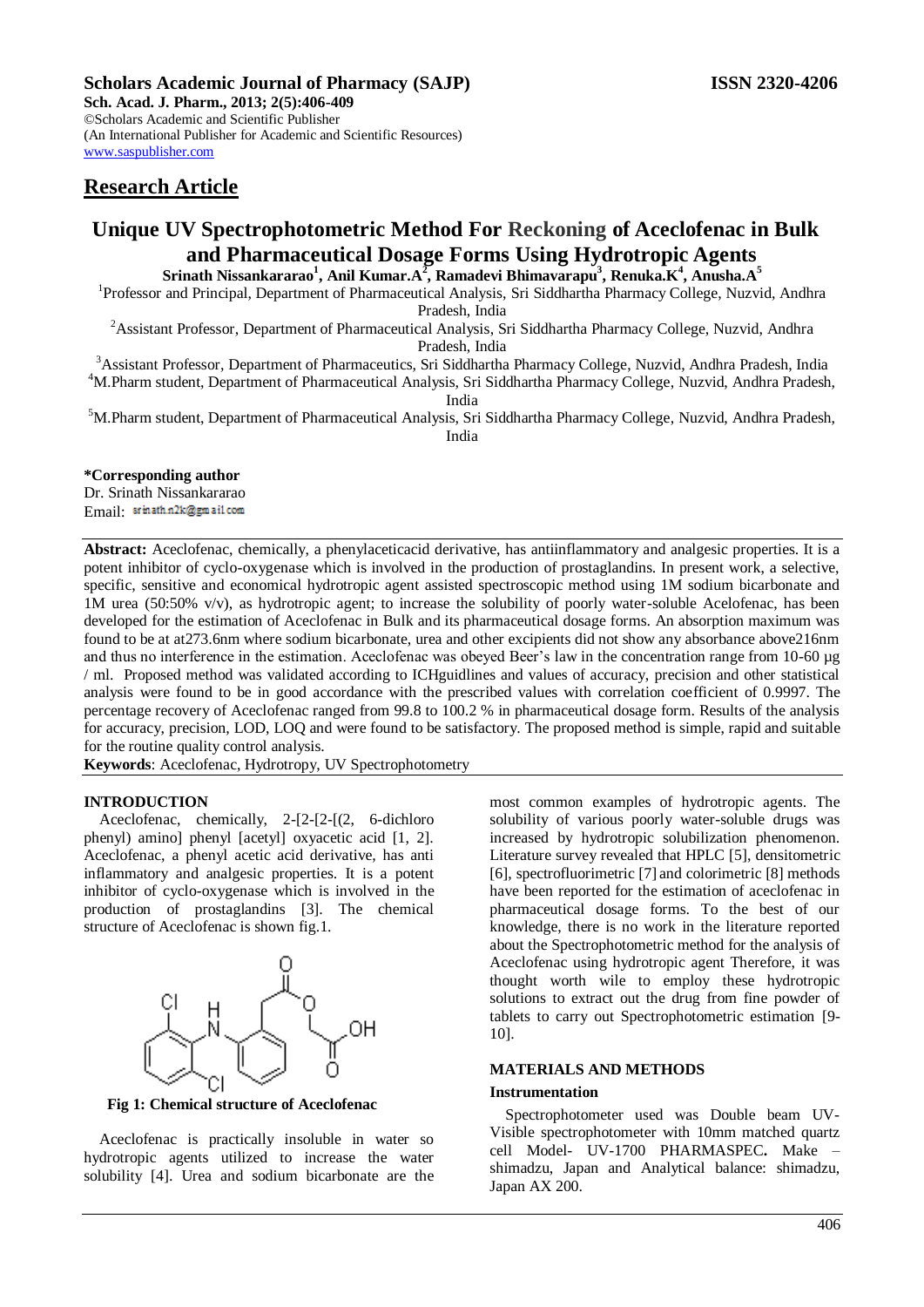**Sch. Acad. J. Pharm., 2013; 2(5):406-409** ©Scholars Academic and Scientific Publisher (An International Publisher for Academic and Scientific Resources) [www.saspublisher.com](http://www.saspublisher.com/)

## **Research Article**

# **Unique UV Spectrophotometric Method For Reckoning of Aceclofenac in Bulk and Pharmaceutical Dosage Forms Using Hydrotropic Agents**

**Srinath Nissankararao<sup>1</sup> , Anil Kumar.A<sup>2</sup> , Ramadevi Bhimavarapu<sup>3</sup> , Renuka.K<sup>4</sup> , Anusha.A<sup>5</sup>**

<sup>1</sup>Professor and Principal, Department of Pharmaceutical Analysis, Sri Siddhartha Pharmacy College, Nuzvid, Andhra Pradesh, India

<sup>2</sup> Assistant Professor, Department of Pharmaceutical Analysis, Sri Siddhartha Pharmacy College, Nuzvid, Andhra Pradesh, India

<sup>3</sup>Assistant Professor, Department of Pharmaceutics, Sri Siddhartha Pharmacy College, Nuzvid, Andhra Pradesh, India <sup>4</sup>M.Pharm student, Department of Pharmaceutical Analysis, Sri Siddhartha Pharmacy College, Nuzvid, Andhra Pradesh,

India

<sup>5</sup>M.Pharm student, Department of Pharmaceutical Analysis, Sri Siddhartha Pharmacy College, Nuzvid, Andhra Pradesh, India

## **\*Corresponding author**

Dr. Srinath Nissankararao Email: srinath.n2k@gmail.com

**Abstract:** Aceclofenac, chemically, a phenylaceticacid derivative, has antiinflammatory and analgesic properties. It is a potent inhibitor of cyclo-oxygenase which is involved in the production of prostaglandins. In present work, a selective, specific, sensitive and economical hydrotropic agent assisted spectroscopic method using 1M sodium bicarbonate and 1M urea (50:50% v/v), as hydrotropic agent; to increase the solubility of poorly water-soluble Acelofenac, has been developed for the estimation of Aceclofenac in Bulk and its pharmaceutical dosage forms. An absorption maximum was found to be at at273.6nm where sodium bicarbonate, urea and other excipients did not show any absorbance above216nm and thus no interference in the estimation. Aceclofenac was obeyed Beer's law in the concentration range from 10-60 µg / ml. Proposed method was validated according to ICHguidlines and values of accuracy, precision and other statistical analysis were found to be in good accordance with the prescribed values with correlation coefficient of 0.9997. The percentage recovery of Aceclofenac ranged from 99.8 to 100.2 % in pharmaceutical dosage form. Results of the analysis for accuracy, precision, LOD, LOQ and were found to be satisfactory. The proposed method is simple, rapid and suitable for the routine quality control analysis.

**Keywords**: Aceclofenac, Hydrotropy, UV Spectrophotometry

## **INTRODUCTION**

Aceclofenac, chemically, 2-[2-[2-[(2, 6-dichloro phenyl) amino] phenyl [acetyl] oxyacetic acid [1, 2]. Aceclofenac, a phenyl acetic acid derivative, has anti inflammatory and analgesic properties. It is a potent inhibitor of cyclo-oxygenase which is involved in the production of prostaglandins [3]. The chemical structure of Aceclofenac is shown fig.1.



**Fig 1: Chemical structure of Aceclofenac**

Aceclofenac is practically insoluble in water so hydrotropic agents utilized to increase the water solubility [4]. Urea and sodium bicarbonate are the most common examples of hydrotropic agents. The solubility of various poorly water-soluble drugs was increased by hydrotropic solubilization phenomenon. Literature survey revealed that HPLC [5], densitometric [6], spectrofluorimetric [7] and colorimetric [8] methods have been reported for the estimation of aceclofenac in pharmaceutical dosage forms. To the best of our knowledge, there is no work in the literature reported about the Spectrophotometric method for the analysis of Aceclofenac using hydrotropic agent Therefore, it was thought worth wile to employ these hydrotropic solutions to extract out the drug from fine powder of tablets to carry out Spectrophotometric estimation [9- 10].

## **MATERIALS AND METHODS**

## **Instrumentation**

Spectrophotometer used was Double beam UV-Visible spectrophotometer with 10mm matched quartz cell Model- UV-1700 PHARMASPEC**.** Make – shimadzu, Japan and Analytical balance: shimadzu, Japan AX 200.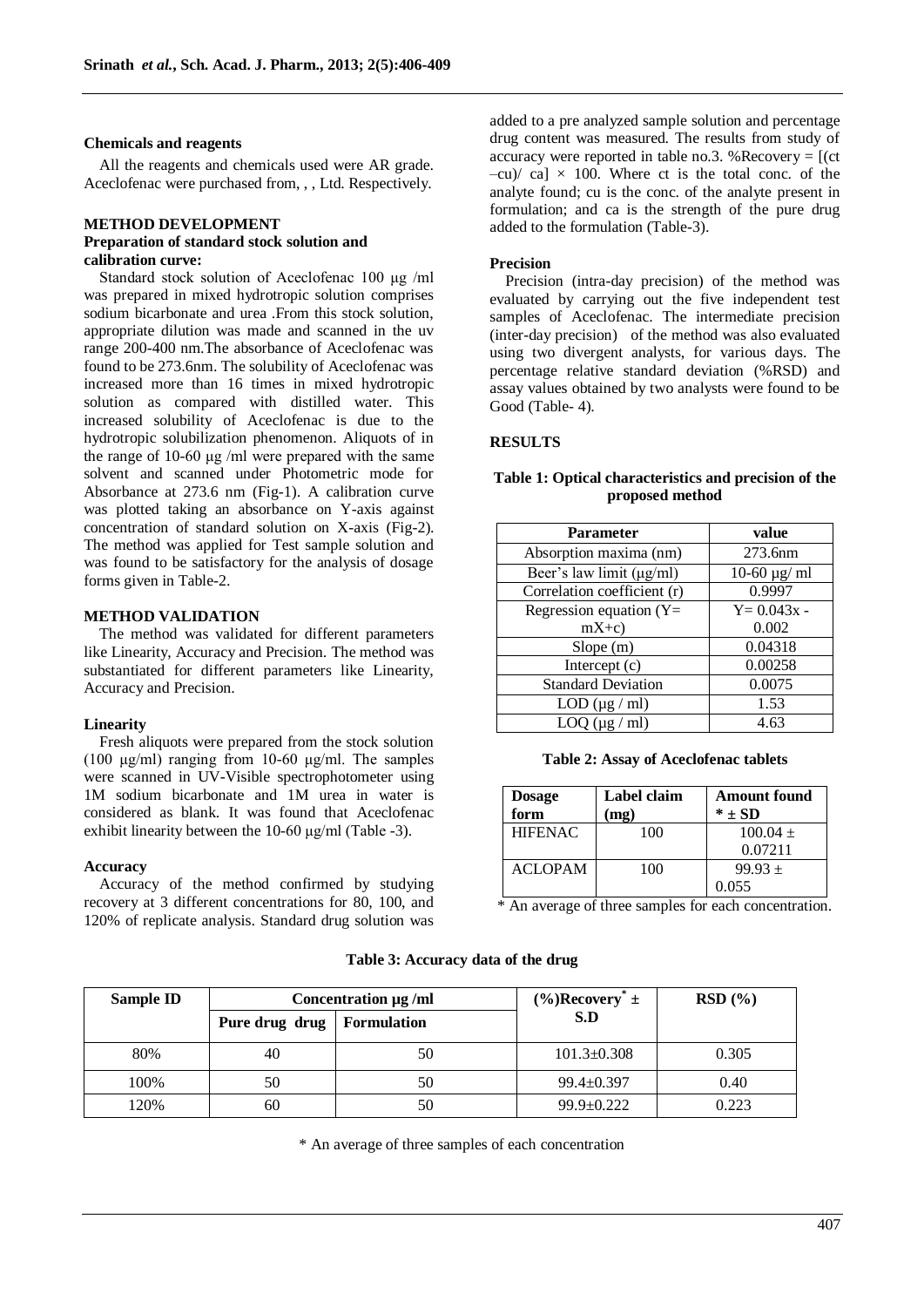#### **Chemicals and reagents**

All the reagents and chemicals used were AR grade. Aceclofenac were purchased from, , , Ltd. Respectively.

#### **METHOD DEVELOPMENT Preparation of standard stock solution and calibration curve:**

Standard stock solution of Aceclofenac 100 μg /ml was prepared in mixed hydrotropic solution comprises sodium bicarbonate and urea .From this stock solution, appropriate dilution was made and scanned in the uv range 200-400 nm.The absorbance of Aceclofenac was found to be 273.6nm. The solubility of Aceclofenac was increased more than 16 times in mixed hydrotropic solution as compared with distilled water. This increased solubility of Aceclofenac is due to the hydrotropic solubilization phenomenon. Aliquots of in the range of 10-60 μg /ml were prepared with the same solvent and scanned under Photometric mode for Absorbance at 273.6 nm (Fig-1). A calibration curve was plotted taking an absorbance on Y-axis against concentration of standard solution on X-axis (Fig-2). The method was applied for Test sample solution and was found to be satisfactory for the analysis of dosage forms given in Table-2.

#### **METHOD VALIDATION**

The method was validated for different parameters like Linearity, Accuracy and Precision. The method was substantiated for different parameters like Linearity, Accuracy and Precision.

#### **Linearity**

Fresh aliquots were prepared from the stock solution (100 μg/ml) ranging from 10-60 μg/ml. The samples were scanned in UV-Visible spectrophotometer using 1M sodium bicarbonate and 1M urea in water is considered as blank. It was found that Aceclofenac exhibit linearity between the 10-60 μg/ml (Table -3).

#### **Accuracy**

Accuracy of the method confirmed by studying recovery at 3 different concentrations for 80, 100, and 120% of replicate analysis. Standard drug solution was

added to a pre analyzed sample solution and percentage drug content was measured. The results from study of accuracy were reported in table no.3. % Recovery  $=$   $[$  (ct  $-cu$  ca]  $\times$  100. Where ct is the total conc. of the analyte found; cu is the conc. of the analyte present in formulation; and ca is the strength of the pure drug added to the formulation (Table-3).

#### **Precision**

Precision (intra-day precision) of the method was evaluated by carrying out the five independent test samples of Aceclofenac. The intermediate precision (inter-day precision) of the method was also evaluated using two divergent analysts, for various days. The percentage relative standard deviation (%RSD) and assay values obtained by two analysts were found to be Good (Table- 4).

#### **RESULTS**

| <b>Parameter</b>              | value                 |  |
|-------------------------------|-----------------------|--|
| Absorption maxima (nm)        | 273.6nm               |  |
| Beer's law limit $(\mu g/ml)$ | $10-60 \text{ µg/ml}$ |  |
| Correlation coefficient (r)   | 0.9997                |  |
| Regression equation $(Y=$     | $Y = 0.043x -$        |  |
| $mX+c$                        | 0.002                 |  |
| Slope(m)                      | 0.04318               |  |
| Intercept (c)                 | 0.00258               |  |
| <b>Standard Deviation</b>     | 0.0075                |  |
| $LOD (\mu g / ml)$            | 1.53                  |  |
| $LOQ$ ( $\mu$ g / ml)         | 4.63                  |  |

## **Table 1: Optical characteristics and precision of the proposed method**

**Table 2: Assay of Aceclofenac tablets**

| <b>Dosage</b><br>form | Label claim<br>mg) | <b>Amount found</b><br>$*$ + SD |
|-----------------------|--------------------|---------------------------------|
| <b>HIFENAC</b>        | 100                | $100.04 +$                      |
|                       |                    | 0.07211                         |
| <b>ACLOPAM</b>        | 100                | $99.93 +$                       |
|                       |                    | 0.055                           |

\* An average of three samples for each concentration.

| <b>Sample ID</b> | Concentration µg/ml |                    | $(\%)$ Recovery <sup>*</sup> ± | RSD(%) |
|------------------|---------------------|--------------------|--------------------------------|--------|
|                  | Pure drug drug      | <b>Formulation</b> | S.D                            |        |
| 80%              | 40                  | 50                 | $101.3 \pm 0.308$              | 0.305  |
| 100%             | 50                  | 50                 | $99.4 \pm 0.397$               | 0.40   |
| 120%             | 60                  | 50                 | $99.9 \pm 0.222$               | 0.223  |

#### **Table 3: Accuracy data of the drug**

\* An average of three samples of each concentration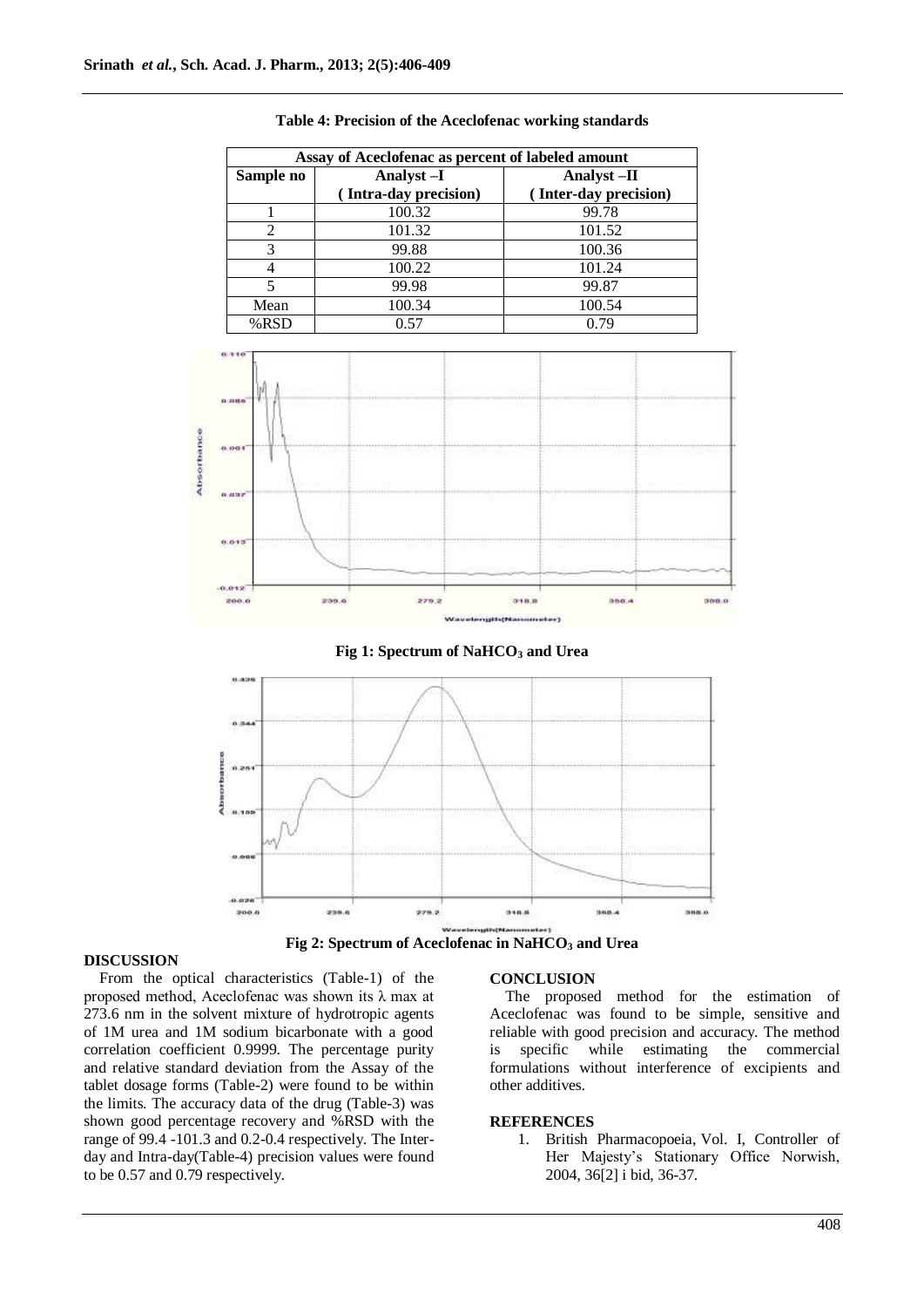| Assay of Aceclofenac as percent of labeled amount |                       |                       |  |
|---------------------------------------------------|-----------------------|-----------------------|--|
| Sample no                                         | Analyst-I             | Analyst-II            |  |
|                                                   | (Intra-day precision) | (Inter-day precision) |  |
|                                                   | 100.32                | 99.78                 |  |
| 2                                                 | 101.32                | 101.52                |  |
| 3                                                 | 99.88                 | 100.36                |  |
|                                                   | 100.22                | 101.24                |  |
| 5                                                 | 99.98                 | 99.87                 |  |
| Mean                                              | 100.34                | 100.54                |  |
| $%$ RSD                                           | 0.57                  | 0.79                  |  |

#### **Table 4: Precision of the Aceclofenac working standards**



## **Fig 1: Spectrum of NaHCO<sup>3</sup> and Urea**



**Fig 2: Spectrum of Aceclofenac in NaHCO<sup>3</sup> and Urea**

## **DISCUSSION**

From the optical characteristics (Table-1) of the proposed method, Aceclofenac was shown its λ max at 273.6 nm in the solvent mixture of hydrotropic agents of 1M urea and 1M sodium bicarbonate with a good correlation coefficient 0.9999. The percentage purity and relative standard deviation from the Assay of the tablet dosage forms (Table-2) were found to be within the limits. The accuracy data of the drug (Table-3) was shown good percentage recovery and %RSD with the range of 99.4 -101.3 and 0.2-0.4 respectively. The Interday and Intra-day(Table-4) precision values were found to be 0.57 and 0.79 respectively.

#### **CONCLUSION**

The proposed method for the estimation of Aceclofenac was found to be simple, sensitive and reliable with good precision and accuracy. The method is specific while estimating the commercial formulations without interference of excipients and other additives.

### **REFERENCES**

1. British Pharmacopoeia, Vol. I, Controller of Her Majesty's Stationary Office Norwish, 2004, 36[2] i bid, 36-37.